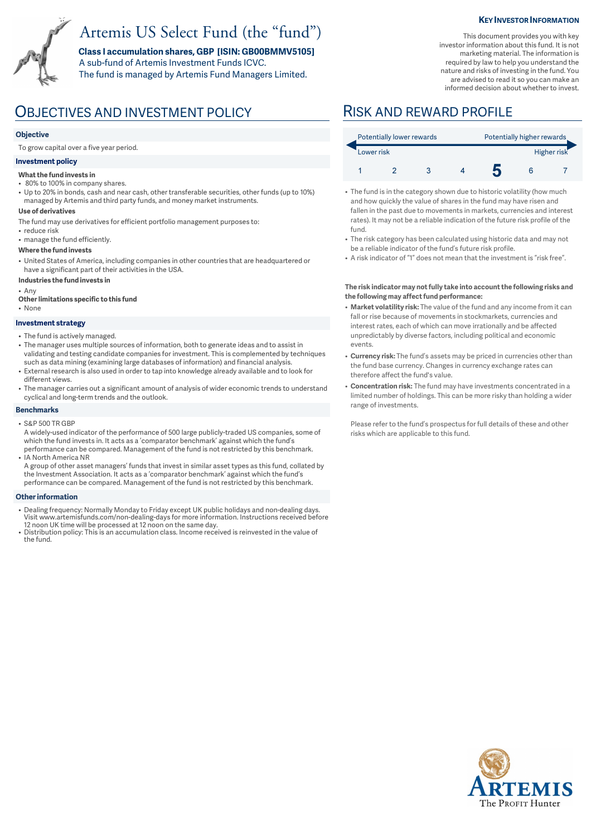# Artemis US Select Fund (the "fund")

**Class I accumulation shares, GBP [ISIN: GB00BMMV5105]**  A sub-fund of Artemis Investment Funds ICVC. The fund is managed by Artemis Fund Managers Limited.

### **KEY INVESTOR INFORMATION**

This document provides you with key investor information about this fund. It is not marketing material. The information is required by law to help you understand the nature and risks of investing in the fund. You are advised to read it so you can make an informed decision about whether to invest.

# OBJECTIVES AND INVESTMENT POLICY RISK AND REWARD PROFILE

### **Objective**

To grow capital over a five year period.

### **Investment policy**

#### **What the fund invests in**

- 80% to 100% in company shares.
- Up to 20% in bonds, cash and near cash, other transferable securities, other funds (up to 10%) managed by Artemis and third party funds, and money market instruments.

#### **Use of derivatives**

- The fund may use derivatives for efficient portfolio management purposes to:
- reduce risk
- manage the fund efficiently.

#### **Where the fund invests**

- United States of America, including companies in other countries that are headquartered or have a significant part of their activities in the USA.
- **Industries the fund invests in**

• Any

- **Other limitations specific to this fund**
- None

#### **Investment strategy**

- The fund is actively managed.
- The manager uses multiple sources of information, both to generate ideas and to assist in validating and testing candidate companies for investment. This is complemented by techniques such as data mining (examining large databases of information) and financial analysis.
- External research is also used in order to tap into knowledge already available and to look for different views.
- The manager carries out a significant amount of analysis of wider economic trends to understand cyclical and long-term trends and the outlook.

#### **Benchmarks**

- S&P 500 TR GBP
- A widely-used indicator of the performance of 500 large publicly-traded US companies, some of which the fund invests in. It acts as a 'comparator benchmark' against which the fund's performance can be compared. Management of the fund is not restricted by this benchmark. • IA North America NR

A group of other asset managers' funds that invest in similar asset types as this fund, collated by the Investment Association. It acts as a 'comparator benchmark' against which the fund's performance can be compared. Management of the fund is not restricted by this benchmark.

#### **Other information**

- Dealing frequency: Normally Monday to Friday except UK public holidays and non-dealing days. Visit www.artemisfunds.com/non-dealing-days for more information. Instructions received before 12 noon UK time will be processed at 12 noon on the same day.
- Distribution policy: This is an accumulation class. Income received is reinvested in the value of the fund.

| Potentially lower rewards |  |  |  | Potentially higher rewards |  |             |
|---------------------------|--|--|--|----------------------------|--|-------------|
| Lower risk                |  |  |  |                            |  | Higher risk |
|                           |  |  |  |                            |  |             |

- The fund is in the category shown due to historic volatility (how much and how quickly the value of shares in the fund may have risen and fallen in the past due to movements in markets, currencies and interest rates). It may not be a reliable indication of the future risk profile of the fund.
- The risk category has been calculated using historic data and may not be a reliable indicator of the fund's future risk profile.
- A risk indicator of "1" does not mean that the investment is "risk free".

#### **The risk indicator may not fully take into account the following risks and the following may affect fund performance:**

- **Market volatility risk:** The value of the fund and any income from it can fall or rise because of movements in stockmarkets, currencies and interest rates, each of which can move irrationally and be affected unpredictably by diverse factors, including political and economic events.
- **Currency risk:** The fund's assets may be priced in currencies other than the fund base currency. Changes in currency exchange rates can therefore affect the fund's value.
- **Concentration risk:** The fund may have investments concentrated in a limited number of holdings. This can be more risky than holding a wider range of investments.

Please refer to the fund's prospectus for full details of these and other risks which are applicable to this fund.